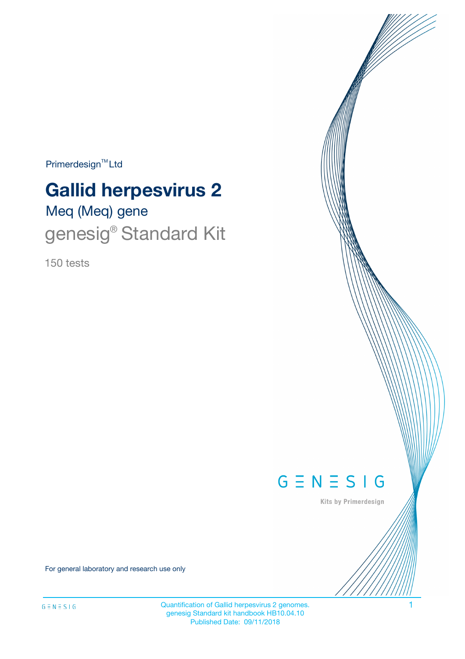$Primerdesign^{TM}$ Ltd

# **Gallid herpesvirus 2**

# Meq (Meq) gene genesig<sup>®</sup> Standard Kit

150 tests



Kits by Primerdesign

For general laboratory and research use only

Quantification of Gallid herpesvirus 2 genomes. 1 genesig Standard kit handbook HB10.04.10 Published Date: 09/11/2018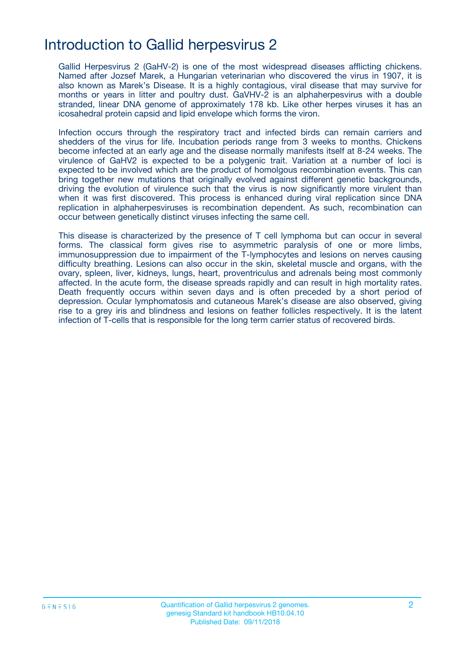### Introduction to Gallid herpesvirus 2

Gallid Herpesvirus 2 (GaHV-2) is one of the most widespread diseases afflicting chickens. Named after Jozsef Marek, a Hungarian veterinarian who discovered the virus in 1907, it is also known as Marek's Disease. It is a highly contagious, viral disease that may survive for months or years in litter and poultry dust. GaVHV-2 is an alphaherpesvirus with a double stranded, linear DNA genome of approximately 178 kb. Like other herpes viruses it has an icosahedral protein capsid and lipid envelope which forms the viron.

Infection occurs through the respiratory tract and infected birds can remain carriers and shedders of the virus for life. Incubation periods range from 3 weeks to months. Chickens become infected at an early age and the disease normally manifests itself at 8-24 weeks. The virulence of GaHV2 is expected to be a polygenic trait. Variation at a number of loci is expected to be involved which are the product of homolgous recombination events. This can bring together new mutations that originally evolved against different genetic backgrounds, driving the evolution of virulence such that the virus is now significantly more virulent than when it was first discovered. This process is enhanced during viral replication since DNA replication in alphaherpesviruses is recombination dependent. As such, recombination can occur between genetically distinct viruses infecting the same cell.

This disease is characterized by the presence of T cell lymphoma but can occur in several forms. The classical form gives rise to asymmetric paralysis of one or more limbs, immunosuppression due to impairment of the T-lymphocytes and lesions on nerves causing difficulty breathing. Lesions can also occur in the skin, skeletal muscle and organs, with the ovary, spleen, liver, kidneys, lungs, heart, proventriculus and adrenals being most commonly affected. In the acute form, the disease spreads rapidly and can result in high mortality rates. Death frequently occurs within seven days and is often preceded by a short period of depression. Ocular lymphomatosis and cutaneous Marek's disease are also observed, giving rise to a grey iris and blindness and lesions on feather follicles respectively. It is the latent infection of T-cells that is responsible for the long term carrier status of recovered birds.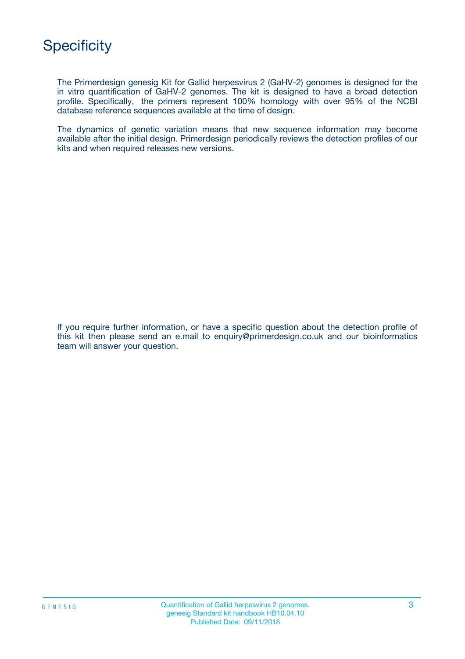

The Primerdesign genesig Kit for Gallid herpesvirus 2 (GaHV-2) genomes is designed for the in vitro quantification of GaHV-2 genomes. The kit is designed to have a broad detection profile. Specifically, the primers represent 100% homology with over 95% of the NCBI database reference sequences available at the time of design.

The dynamics of genetic variation means that new sequence information may become available after the initial design. Primerdesign periodically reviews the detection profiles of our kits and when required releases new versions.

If you require further information, or have a specific question about the detection profile of this kit then please send an e.mail to enquiry@primerdesign.co.uk and our bioinformatics team will answer your question.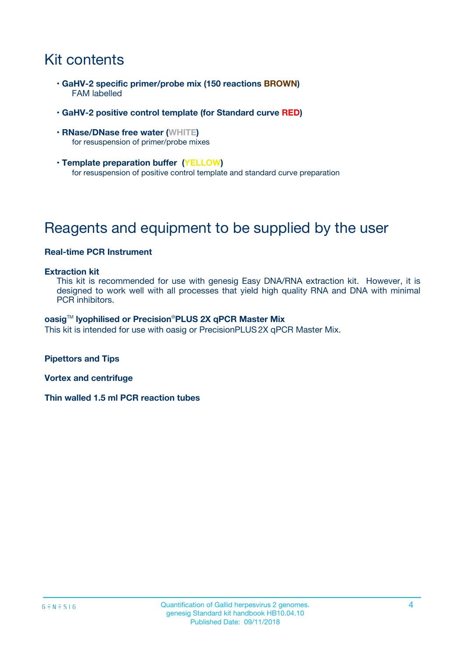# Kit contents

- **GaHV-2 specific primer/probe mix (150 reactions BROWN)** FAM labelled
- **GaHV-2 positive control template (for Standard curve RED)**
- **RNase/DNase free water (WHITE)** for resuspension of primer/probe mixes
- **Template preparation buffer (YELLOW)** for resuspension of positive control template and standard curve preparation

## Reagents and equipment to be supplied by the user

#### **Real-time PCR Instrument**

#### **Extraction kit**

This kit is recommended for use with genesig Easy DNA/RNA extraction kit. However, it is designed to work well with all processes that yield high quality RNA and DNA with minimal PCR inhibitors.

#### **oasig**TM **lyophilised or Precision**®**PLUS 2X qPCR Master Mix**

This kit is intended for use with oasig or PrecisionPLUS2X qPCR Master Mix.

**Pipettors and Tips**

**Vortex and centrifuge**

**Thin walled 1.5 ml PCR reaction tubes**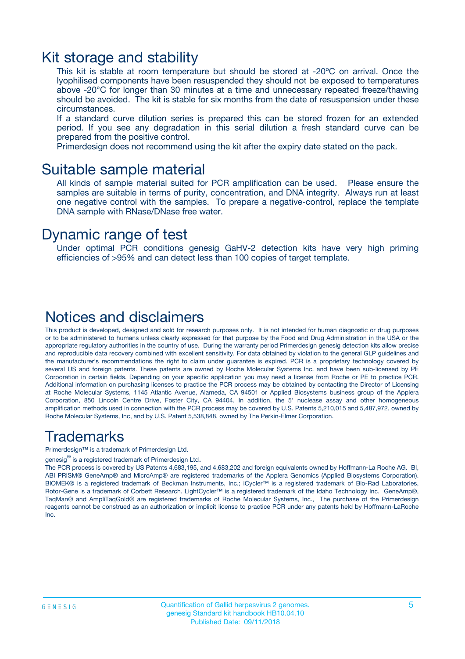### Kit storage and stability

This kit is stable at room temperature but should be stored at -20ºC on arrival. Once the lyophilised components have been resuspended they should not be exposed to temperatures above -20°C for longer than 30 minutes at a time and unnecessary repeated freeze/thawing should be avoided. The kit is stable for six months from the date of resuspension under these circumstances.

If a standard curve dilution series is prepared this can be stored frozen for an extended period. If you see any degradation in this serial dilution a fresh standard curve can be prepared from the positive control.

Primerdesign does not recommend using the kit after the expiry date stated on the pack.

### Suitable sample material

All kinds of sample material suited for PCR amplification can be used. Please ensure the samples are suitable in terms of purity, concentration, and DNA integrity. Always run at least one negative control with the samples. To prepare a negative-control, replace the template DNA sample with RNase/DNase free water.

### Dynamic range of test

Under optimal PCR conditions genesig GaHV-2 detection kits have very high priming efficiencies of >95% and can detect less than 100 copies of target template.

### Notices and disclaimers

This product is developed, designed and sold for research purposes only. It is not intended for human diagnostic or drug purposes or to be administered to humans unless clearly expressed for that purpose by the Food and Drug Administration in the USA or the appropriate regulatory authorities in the country of use. During the warranty period Primerdesign genesig detection kits allow precise and reproducible data recovery combined with excellent sensitivity. For data obtained by violation to the general GLP guidelines and the manufacturer's recommendations the right to claim under guarantee is expired. PCR is a proprietary technology covered by several US and foreign patents. These patents are owned by Roche Molecular Systems Inc. and have been sub-licensed by PE Corporation in certain fields. Depending on your specific application you may need a license from Roche or PE to practice PCR. Additional information on purchasing licenses to practice the PCR process may be obtained by contacting the Director of Licensing at Roche Molecular Systems, 1145 Atlantic Avenue, Alameda, CA 94501 or Applied Biosystems business group of the Applera Corporation, 850 Lincoln Centre Drive, Foster City, CA 94404. In addition, the 5' nuclease assay and other homogeneous amplification methods used in connection with the PCR process may be covered by U.S. Patents 5,210,015 and 5,487,972, owned by Roche Molecular Systems, Inc, and by U.S. Patent 5,538,848, owned by The Perkin-Elmer Corporation.

### Trademarks

Primerdesign™ is a trademark of Primerdesign Ltd.

genesig $^\circledR$  is a registered trademark of Primerdesign Ltd.

The PCR process is covered by US Patents 4,683,195, and 4,683,202 and foreign equivalents owned by Hoffmann-La Roche AG. BI, ABI PRISM® GeneAmp® and MicroAmp® are registered trademarks of the Applera Genomics (Applied Biosystems Corporation). BIOMEK® is a registered trademark of Beckman Instruments, Inc.; iCycler™ is a registered trademark of Bio-Rad Laboratories, Rotor-Gene is a trademark of Corbett Research. LightCycler™ is a registered trademark of the Idaho Technology Inc. GeneAmp®, TaqMan® and AmpliTaqGold® are registered trademarks of Roche Molecular Systems, Inc., The purchase of the Primerdesign reagents cannot be construed as an authorization or implicit license to practice PCR under any patents held by Hoffmann-LaRoche Inc.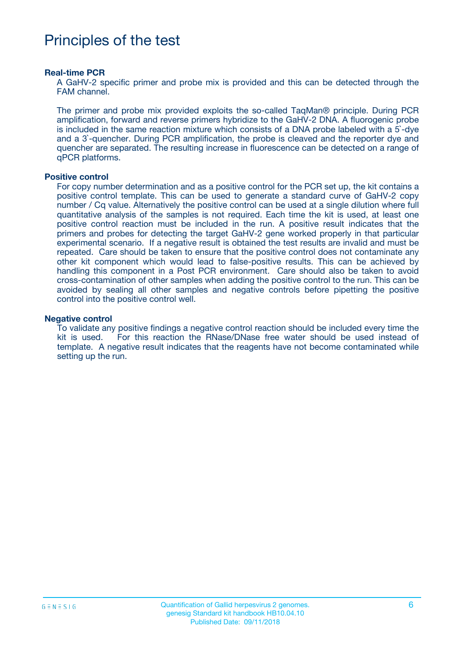### Principles of the test

#### **Real-time PCR**

A GaHV-2 specific primer and probe mix is provided and this can be detected through the FAM channel.

The primer and probe mix provided exploits the so-called TaqMan® principle. During PCR amplification, forward and reverse primers hybridize to the GaHV-2 DNA. A fluorogenic probe is included in the same reaction mixture which consists of a DNA probe labeled with a 5`-dye and a 3`-quencher. During PCR amplification, the probe is cleaved and the reporter dye and quencher are separated. The resulting increase in fluorescence can be detected on a range of qPCR platforms.

#### **Positive control**

For copy number determination and as a positive control for the PCR set up, the kit contains a positive control template. This can be used to generate a standard curve of GaHV-2 copy number / Cq value. Alternatively the positive control can be used at a single dilution where full quantitative analysis of the samples is not required. Each time the kit is used, at least one positive control reaction must be included in the run. A positive result indicates that the primers and probes for detecting the target GaHV-2 gene worked properly in that particular experimental scenario. If a negative result is obtained the test results are invalid and must be repeated. Care should be taken to ensure that the positive control does not contaminate any other kit component which would lead to false-positive results. This can be achieved by handling this component in a Post PCR environment. Care should also be taken to avoid cross-contamination of other samples when adding the positive control to the run. This can be avoided by sealing all other samples and negative controls before pipetting the positive control into the positive control well.

#### **Negative control**

To validate any positive findings a negative control reaction should be included every time the kit is used. For this reaction the RNase/DNase free water should be used instead of template. A negative result indicates that the reagents have not become contaminated while setting up the run.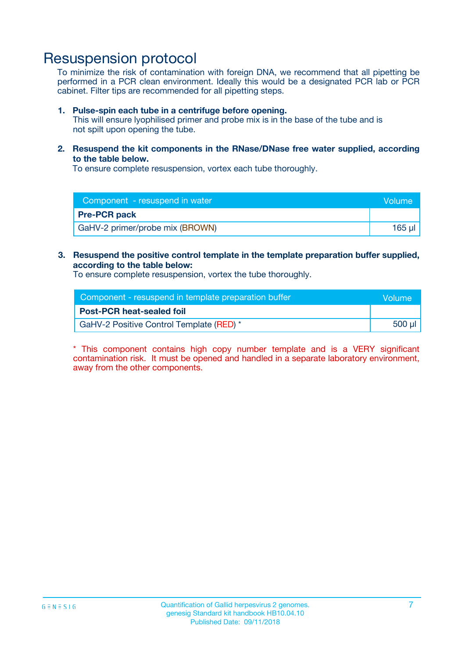### Resuspension protocol

To minimize the risk of contamination with foreign DNA, we recommend that all pipetting be performed in a PCR clean environment. Ideally this would be a designated PCR lab or PCR cabinet. Filter tips are recommended for all pipetting steps.

#### **1. Pulse-spin each tube in a centrifuge before opening.**

This will ensure lyophilised primer and probe mix is in the base of the tube and is not spilt upon opening the tube.

**2. Resuspend the kit components in the RNase/DNase free water supplied, according to the table below.**

To ensure complete resuspension, vortex each tube thoroughly.

| Component - resuspend in water  | Volume |
|---------------------------------|--------|
| <b>Pre-PCR pack</b>             |        |
| GaHV-2 primer/probe mix (BROWN) | 165 ul |

#### **3. Resuspend the positive control template in the template preparation buffer supplied, according to the table below:**

To ensure complete resuspension, vortex the tube thoroughly.

| Component - resuspend in template preparation buffer |        |  |
|------------------------------------------------------|--------|--|
| <b>Post-PCR heat-sealed foil</b>                     |        |  |
| GaHV-2 Positive Control Template (RED) *             | 500 µl |  |

\* This component contains high copy number template and is a VERY significant contamination risk. It must be opened and handled in a separate laboratory environment, away from the other components.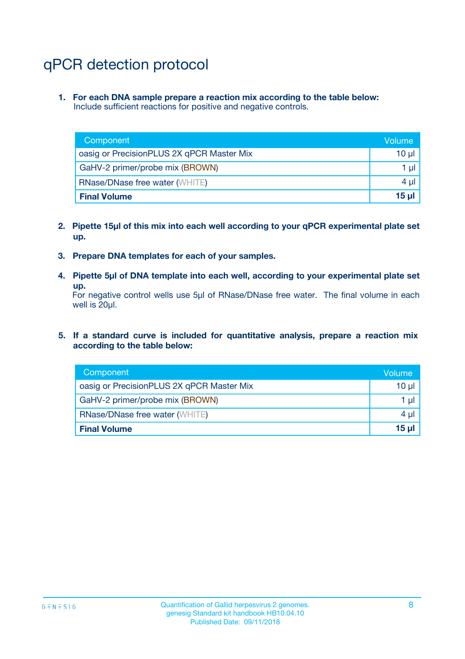# qPCR detection protocol

**1. For each DNA sample prepare a reaction mix according to the table below:** Include sufficient reactions for positive and negative controls.

| Component                                 | Volume           |
|-------------------------------------------|------------------|
| oasig or PrecisionPLUS 2X qPCR Master Mix | 10 $\mu$         |
| GaHV-2 primer/probe mix (BROWN)           | 1 $\mu$          |
| <b>RNase/DNase free water (WHITE)</b>     | $4 \mu$          |
| <b>Final Volume</b>                       | 15 <sub>ul</sub> |

- **2. Pipette 15µl of this mix into each well according to your qPCR experimental plate set up.**
- **3. Prepare DNA templates for each of your samples.**
- **4. Pipette 5µl of DNA template into each well, according to your experimental plate set up.**

For negative control wells use 5µl of RNase/DNase free water. The final volume in each well is 20µl.

**5. If a standard curve is included for quantitative analysis, prepare a reaction mix according to the table below:**

| Component                                 | Volume  |
|-------------------------------------------|---------|
| oasig or PrecisionPLUS 2X qPCR Master Mix | 10 µl   |
| GaHV-2 primer/probe mix (BROWN)           | 1 µI    |
| <b>RNase/DNase free water (WHITE)</b>     | $4 \mu$ |
| <b>Final Volume</b>                       | 15 µl   |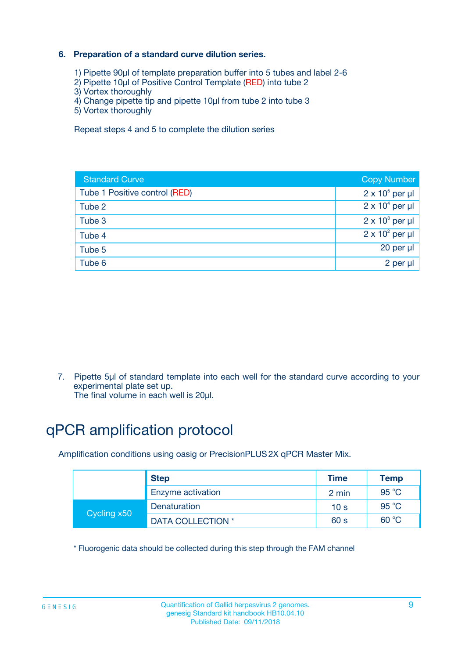#### **6. Preparation of a standard curve dilution series.**

- 1) Pipette 90µl of template preparation buffer into 5 tubes and label 2-6
- 2) Pipette 10µl of Positive Control Template (RED) into tube 2
- 3) Vortex thoroughly
- 4) Change pipette tip and pipette 10µl from tube 2 into tube 3
- 5) Vortex thoroughly

Repeat steps 4 and 5 to complete the dilution series

| <b>Standard Curve</b>         | <b>Copy Number</b>     |
|-------------------------------|------------------------|
| Tube 1 Positive control (RED) | $2 \times 10^5$ per µl |
| Tube 2                        | $2 \times 10^4$ per µl |
| Tube 3                        | $2 \times 10^3$ per µl |
| Tube 4                        | $2 \times 10^2$ per µl |
| Tube 5                        | 20 per µl              |
| Tube 6                        | 2 per ul               |

7. Pipette 5µl of standard template into each well for the standard curve according to your experimental plate set up.

The final volume in each well is 20µl.

# qPCR amplification protocol

Amplification conditions using oasig or PrecisionPLUS2X qPCR Master Mix.

| <b>Step</b> |                   | <b>Time</b>     | Temp    |
|-------------|-------------------|-----------------|---------|
|             | Enzyme activation | 2 min           | 95 °C   |
| Cycling x50 | Denaturation      | 10 <sub>s</sub> | 95 $°C$ |
|             | DATA COLLECTION * | 60 s            | 60 °C   |

\* Fluorogenic data should be collected during this step through the FAM channel